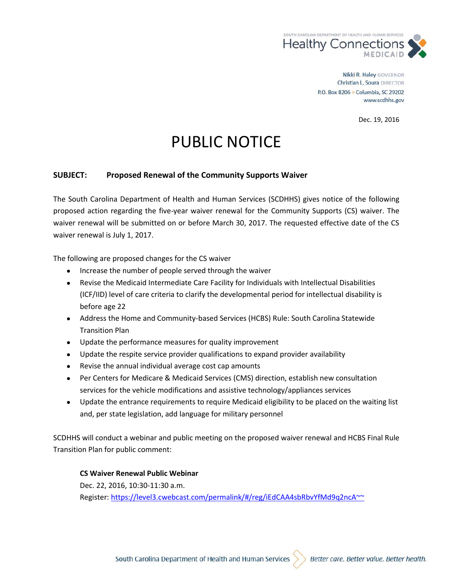

Nikki R. Haley GOVERNOR Christian L. Soura DIRECTOR P.O. Box 8206 > Columbia, SC 29202 www.scdhhs.gov

Dec. 19, 2016

## PUBLIC NOTICE

## **SUBJECT: Proposed Renewal of the Community Supports Waiver**

The South Carolina Department of Health and Human Services (SCDHHS) gives notice of the following proposed action regarding the five-year waiver renewal for the Community Supports (CS) waiver. The waiver renewal will be submitted on or before March 30, 2017. The requested effective date of the CS waiver renewal is July 1, 2017.

The following are proposed changes for the CS waiver

- Increase the number of people served through the waiver
- Revise the Medicaid Intermediate Care Facility for Individuals with Intellectual Disabilities (ICF/IID) level of care criteria to clarify the developmental period for intellectual disability is before age 22
- Address the Home and Community-based Services (HCBS) Rule: South Carolina Statewide Transition Plan
- Update the performance measures for quality improvement
- Update the respite service provider qualifications to expand provider availability
- Revise the annual individual average cost cap amounts
- Per Centers for Medicare & Medicaid Services (CMS) direction, establish new consultation services for the vehicle modifications and assistive technology/appliances services
- Update the entrance requirements to require Medicaid eligibility to be placed on the waiting list and, per state legislation, add language for military personnel

SCDHHS will conduct a webinar and public meeting on the proposed waiver renewal and HCBS Final Rule Transition Plan for public comment:

## **CS Waiver Renewal Public Webinar**

Dec. 22, 2016, 10:30-11:30 a.m. Register:<https://level3.cwebcast.com/permalink/#/reg/iEdCAA4sbRbvYfMd9q2ncA~~>

South Carolina Department of Health and Human Services